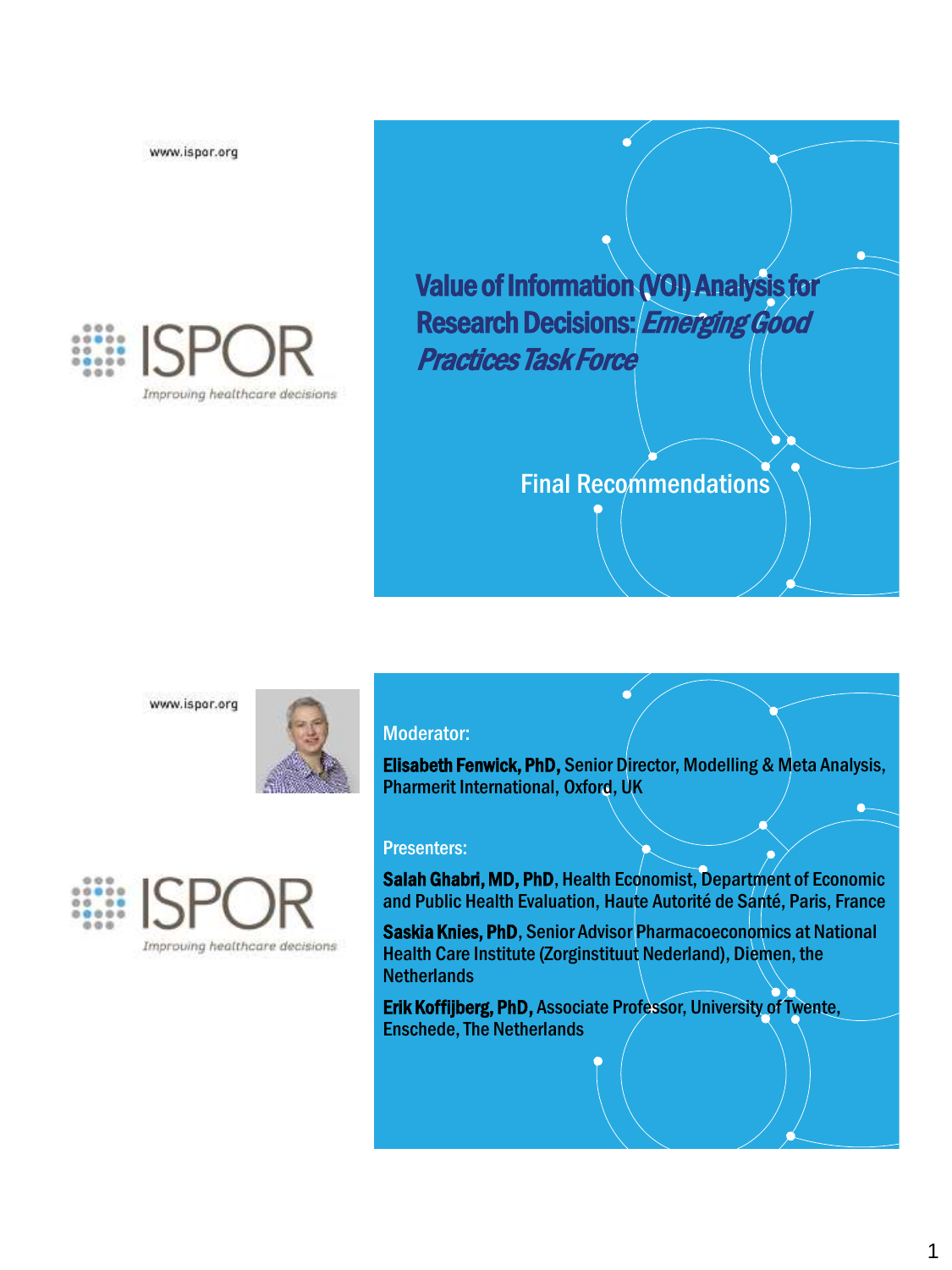

Value of Information (VOI) Analysis for Research Decisions: Emerging Good Practices Task Force

## Final Recommendations

www.ispor.org





#### Moderator:

Elisabeth Fenwick, PhD, Senior Director, Modelling & Meta Analysis, Pharmerit International, Oxford, UK

 $\vec{a}$ 

#### Presenters:

Salah Ghabri, MD, PhD, Health Economist, Department of Economic and Public Health Evaluation, Haute Autorité de Santé, Paris, France

Saskia Knies, PhD, Senior Advisor Pharmacoeconomics at National Health Care Institute (Zorginstituut Nederland), Diemen, the **Netherlands** 

Erik Koffijberg, PhD, Associate Professor, University of Twente, Enschede, The Netherlands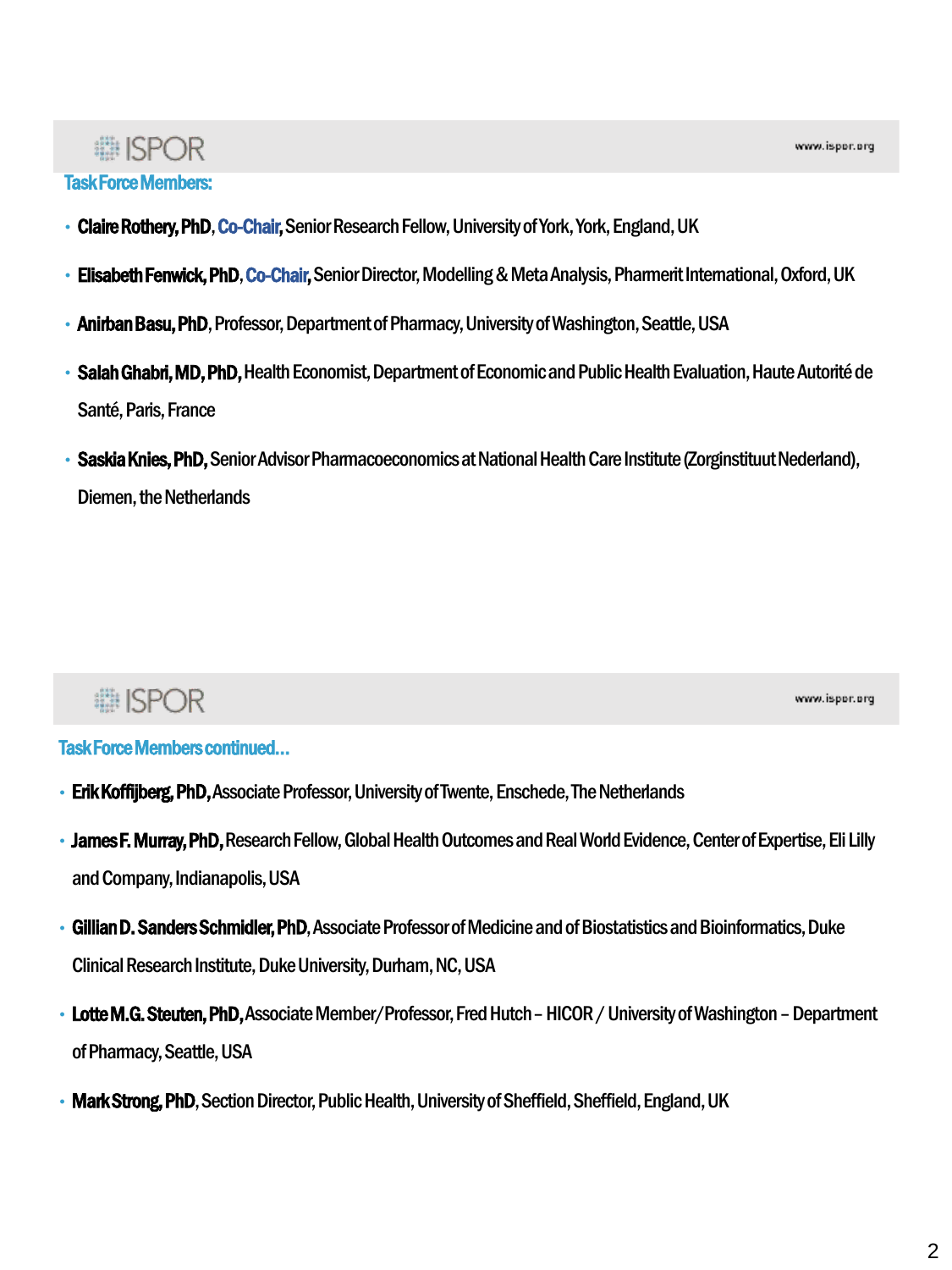#### Task Force Members:

- Claire Rothery, PhD, Co-Chair, Senior Research Fellow, University of York, York, England, UK
- Elisabeth Fenwick, PhD, Co-Chair, Senior Director, Modelling & Meta Analysis, Pharmerit International, Oxford, UK
- Anirban Basu, PhD, Professor, Department of Pharmacy, University of Washington, Seattle, USA
- Salah Ghabri, MD, PhD, Health Economist, Department of Economic and Public Health Evaluation, Haute Autorité de Santé, Paris, France
- Saskia Knies, PhD, Senior Advisor Pharmacoeconomics at National Health Care Institute (Zorginstituut Nederland), Diemen, the Netherlands

## **■ISPOR**

www.ispor.org

#### Task Force Members continued…

- Erik Koffijberg, PhD, Associate Professor, University of Twente, Enschede, The Netherlands
- James F. Murray, PhD,Research Fellow, Global Health Outcomes and Real World Evidence, Centerof Expertise, Eli Lilly and Company, Indianapolis, USA
- Gillian D. Sanders Schmidler, PhD, Associate Professor of Medicine and of Biostatistics and Bioinformatics, Duke Clinical Research Institute, Duke University, Durham, NC, USA
- Lotte M.G. Steuten, PhD, Associate Member/Professor, Fred Hutch HICOR / University of Washington Department of Pharmacy, Seattle, USA
- Mark Strong, PhD, Section Director, Public Health, University of Sheffield, Sheffield, England, UK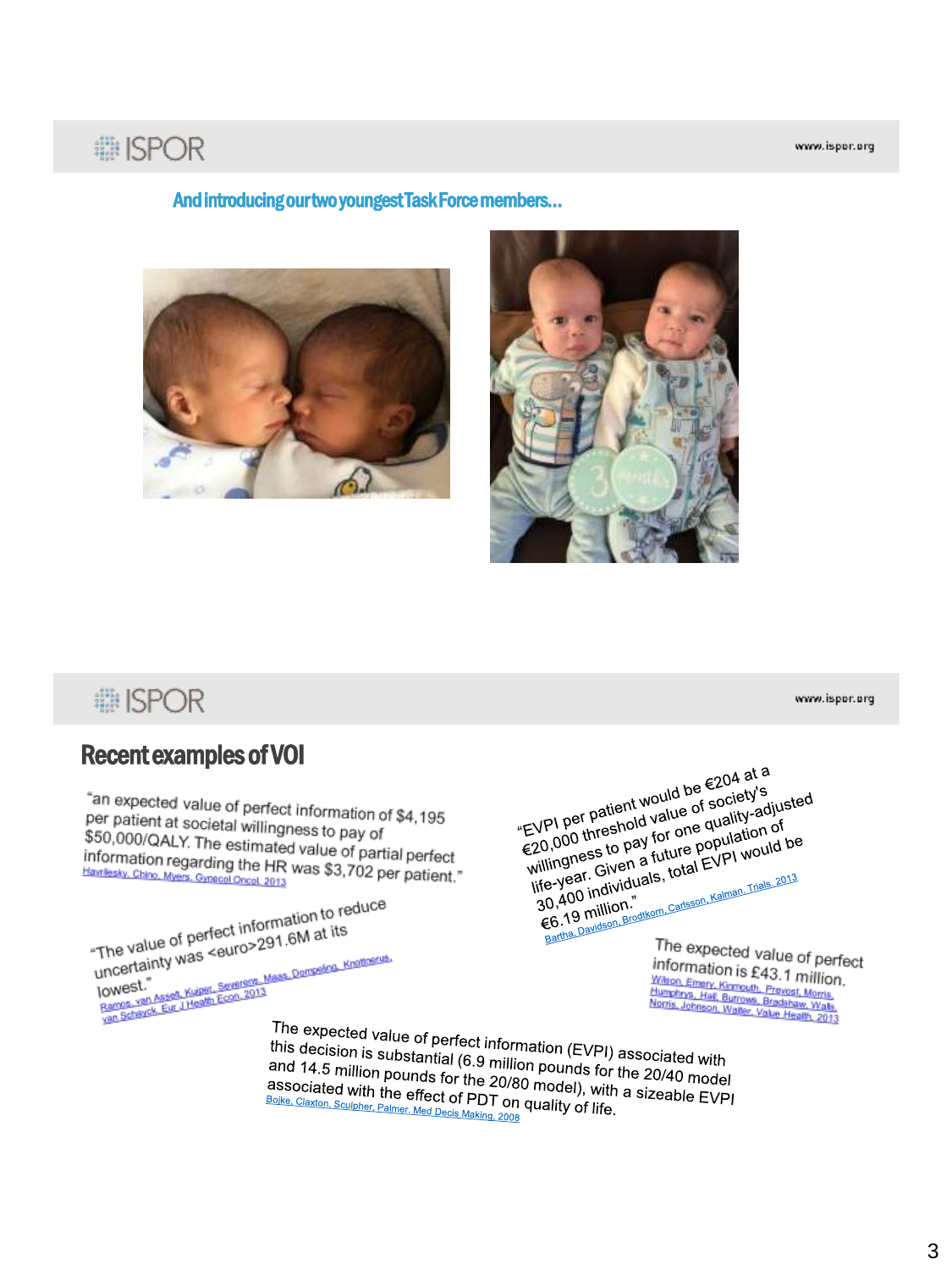## **■ISPOR**

#### And introducing our two youngest Task Force members…





**■ISPOR** 

## Recent examples of VOI

"an expected value of perfect information of \$4,195<br>per patient at societal willingness to work \$4,195 per patient at societal willingness to pay of<br>\$50,000/OAI Y The estimate the stop ay of \$50,000/QALY. The estimated value of pay of<br>information regarding the HR was \$3.750. information regarding the HR was \$3,702 per partient."<br> **Harriesky, Chino, Myers, Omecel Oncol, 2013** Havriesky, Chino, Myers, Gynecol Oncol, 2013

The value of perfect information to reduce<br>The value of perfect information to reduce The value of perfect information to respect to the value of perfect information to respect to the uncertainty was served to the uncertainty was served to the uncertainty was a served to the uncertainty was a served of the The value of performance and the comparison of the performance of the comparison of the comparison of the comparison of the comparison of the comparison of the comparison of the comparison of the comparison of the comparis lowest."

"EVPI per patient would be €204 at a<br>"EVPI per patient would be €204 at a<br>"EVPI per patient value of society's<br>C20 000 threa pay for one population" EVPI per patient would be  $\epsilon$ 204 at a<br>"EVPI per patient would be f society's<br> $\epsilon$ 20,000 threshold value of society's<br>"illingness to pay for one population" EVPI per patient would be  $\epsilon$ 204 by S<br>EVPI per patient would be  $\epsilon$ 20,000 threshold value of society-adjusted<br> $\epsilon$ 20,000 threshold value of papilation of<br>willingness to pay for one population of<br>willingness to finituals EVPI per patient will be of solution of<br>E20,000 threshold value of quality-adjust<br>E20,000 threshold for one qualition of<br>willingness to pay for one population of<br>life-year. Given a future population of the sense of the se VPI per trreshold v.c.<br>20,000 threshold v.for one quality of<br>20,000 thresh for a future population of<br>ilife-year. Given a future EVPI would be<br>iffe-year. Gividuals, total EVPI would be<br>es 19 million." illingheor Given a luctual EVP.<br>
fe-year. Given a luctal EVP.<br>
30,400 individuals, total EVP.<br>
6.19 million.<br>
Factual Davidson Broditom. Carlisson. Kalman. Trials. 2013<br>
The expected value.

The expected value of perfect information is £43.1 million. THOMATION IS £43.1 million<br>Water Emery, Kinnouth, Previst, Morris<br>Humphns, Hall, Burrows, Bradshaw, Wals,<br>Norris, Johnson, Walse, Value Health, 2013

The expected value of perfect information (EVPI) associated with<br>this decision is substantial (6.9 million pounds for the 30/16 with this decision is substantial (6.9 million pounds for the 20/40 model<br>and 14.5 million pounds for the 20/80 model) with a and 14.5 million pounds for the 20/80 model) with a single in and 14.5 million pounds for the 20/80 model), with a size able to Boike, Claston, Sculpher, Palmer Material (6.9 million pounds for the 20/40 model associated with the effect of PDT on quality of life associated with the effect of PDT on quality of life.<br>
Bolke, Claxton, Sculpher, Palmer. Med Decis Making, 2008 quality of life. **Abolity Concrete Contract Of PDT on Boike, Claxton, Sculpher, Palmer. Med Decis Making, 2008**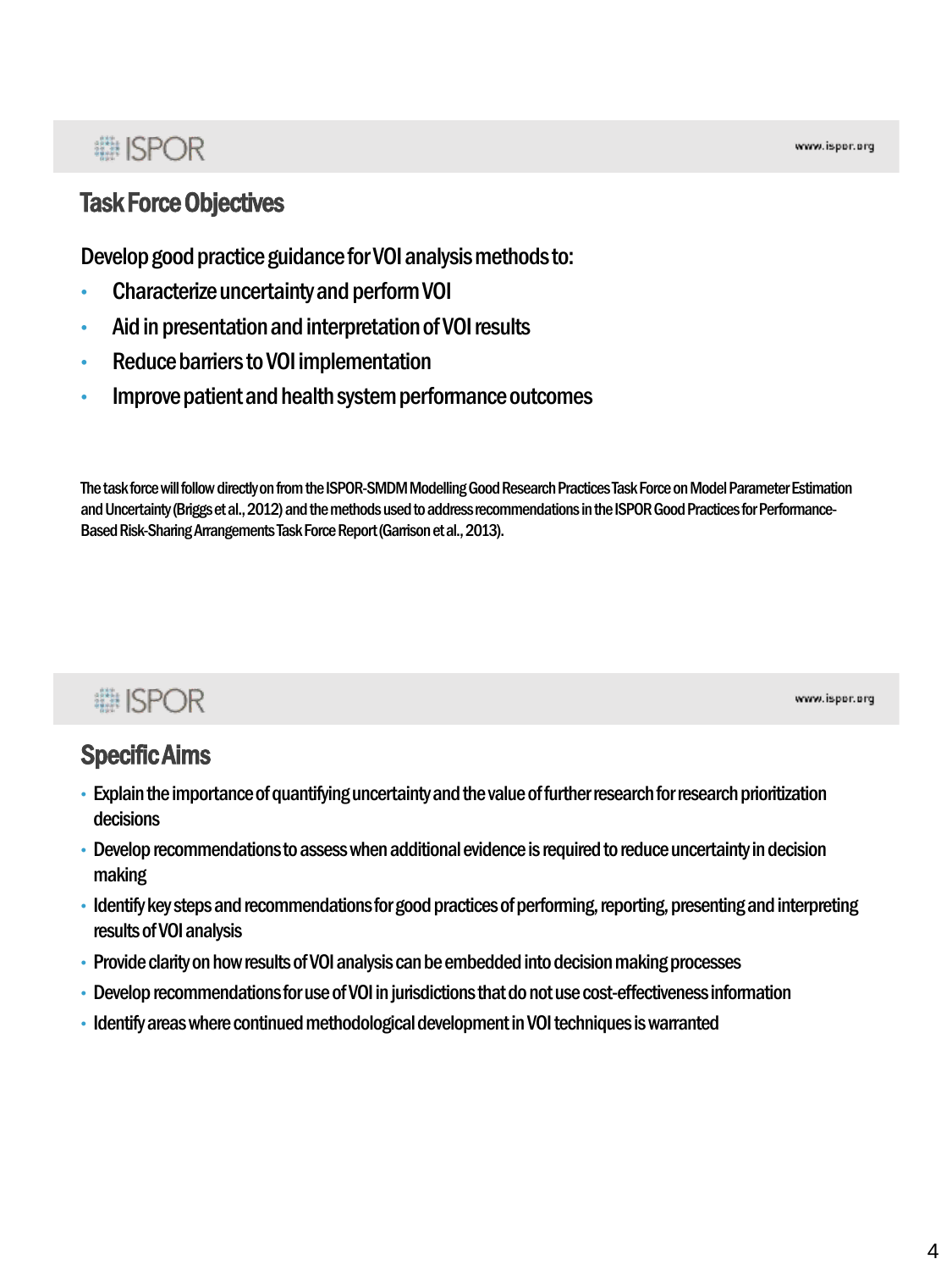### Task Force Objectives

Develop good practice guidance for VOI analysis methods to:

- Characterize uncertainty and perform VOI
- Aid in presentation and interpretation of VOI results
- Reduce barriers to VOI implementation
- Improve patient and health system performance outcomes

The task force will follow directly on from the ISPOR-SMDM Modelling Good Research Practices Task Force on Model Parameter Estimation and Uncertainty (Briggs et al., 2012) and the methods used to address recommendations in the ISPOR Good Practices for Performance-Based Risk-Sharing Arrangements Task Force Report (Garrison et al., 2013).

## **■ISPOR**

www.ispor.org

## Specific Aims

- Explain the importance of quantifying uncertainty and the value of further research for research prioritization decisions
- Develop recommendations to assess when additional evidence is required to reduce uncertainty in decision making
- Identify key steps and recommendations for good practices of performing, reporting, presenting and interpreting results of VOI analysis
- Provide clarity on how results of VOI analysis can be embedded into decision making processes
- Develop recommendations for use of VOI in jurisdictions that do not use cost-effectiveness information
- Identify areas where continued methodological development in VOI techniques is warranted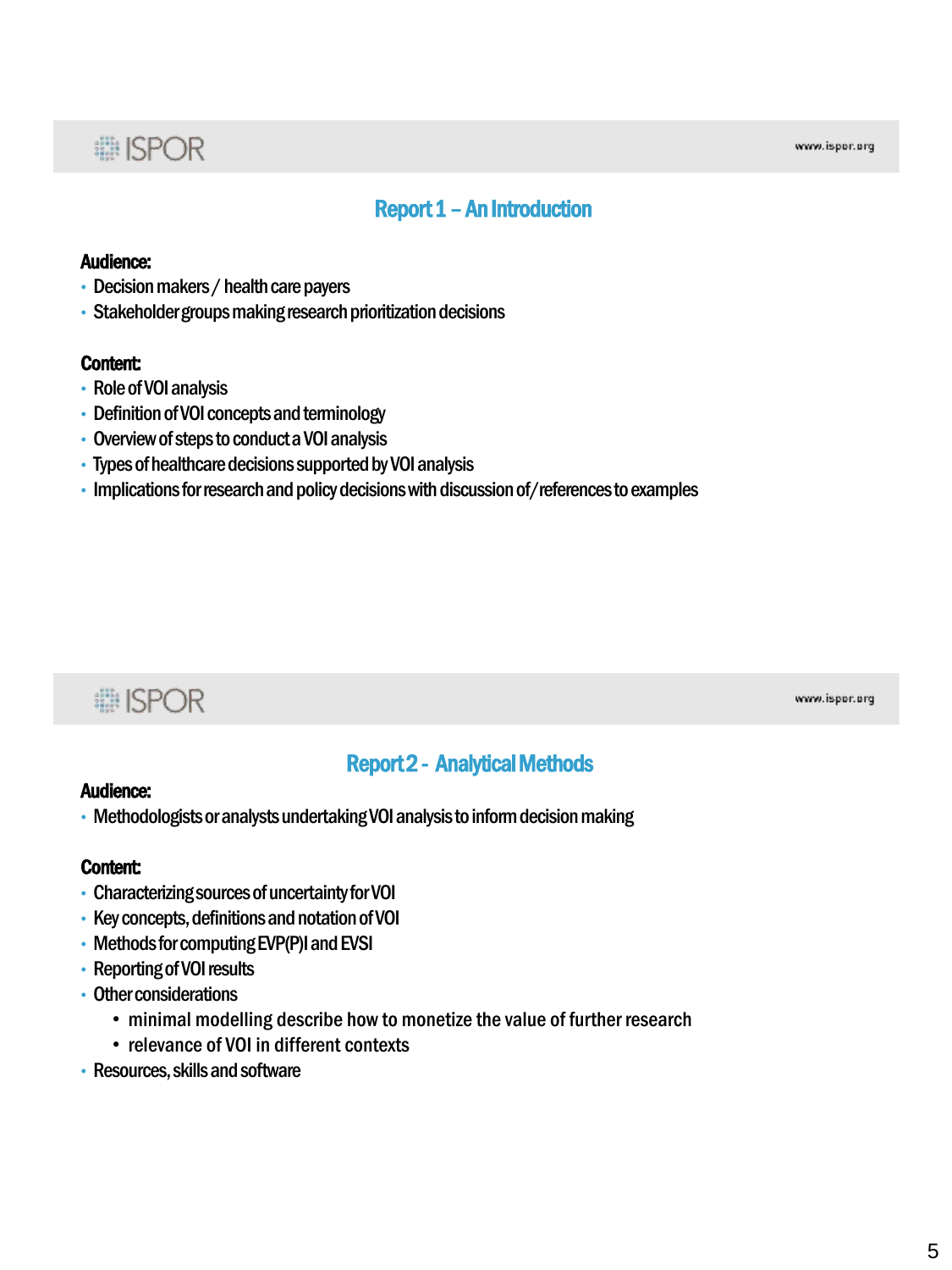#### Report 1 –An Introduction

#### Audience:

- Decision makers / health care payers
- Stakeholder groups making research prioritization decisions

#### Content:

- Role of VOI analysis
- Definition of VOI concepts and terminology
- Overview of steps to conduct a VOI analysis
- Types of healthcare decisions supported by VOI analysis
- Implications for research and policy decisions with discussion of/references to examples

## **■ISPOR**

www.ispor.org

#### Report 2 - Analytical Methods

#### Audience:

• Methodologists or analysts undertaking VOI analysis to inform decision making

#### Content:

- Characterizing sources of uncertainty for VOI
- Key concepts, definitions and notation of VOI
- Methods for computing EVP(P)I and EVSI
- Reporting of VOI results
- Other considerations
	- minimal modelling describe how to monetize the value of further research
	- relevance of VOI in different contexts
- Resources, skills and software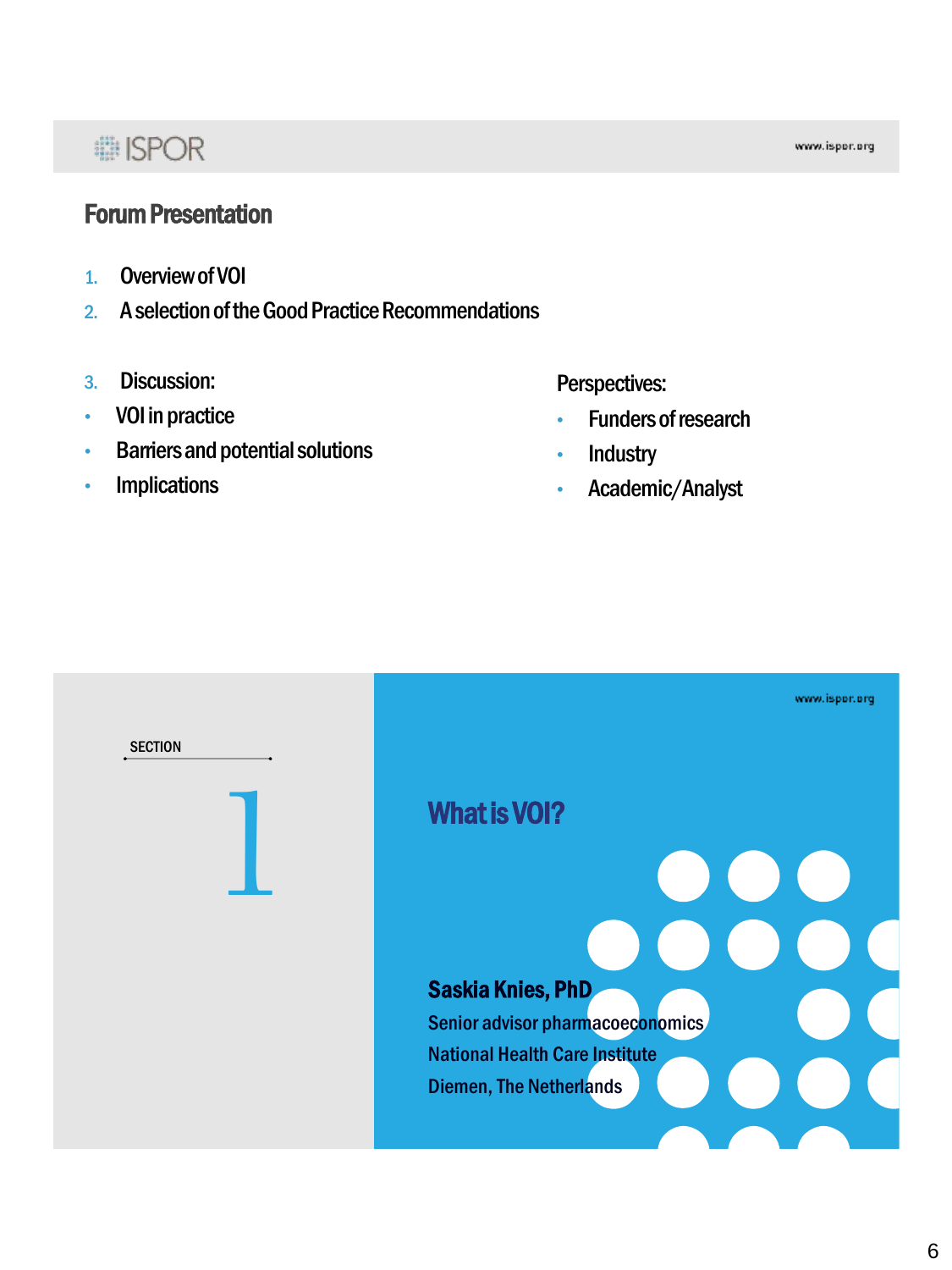## **● ISPOR**

#### Forum Presentation

- 1. Overview of VOI
- 2. A selection of the Good Practice Recommendations
- 3. Discussion:
- VOI in practice
- Barriers and potential solutions
- **Implications**

#### Perspectives:

- Funders of research
- **Industry**
- Academic/Analyst

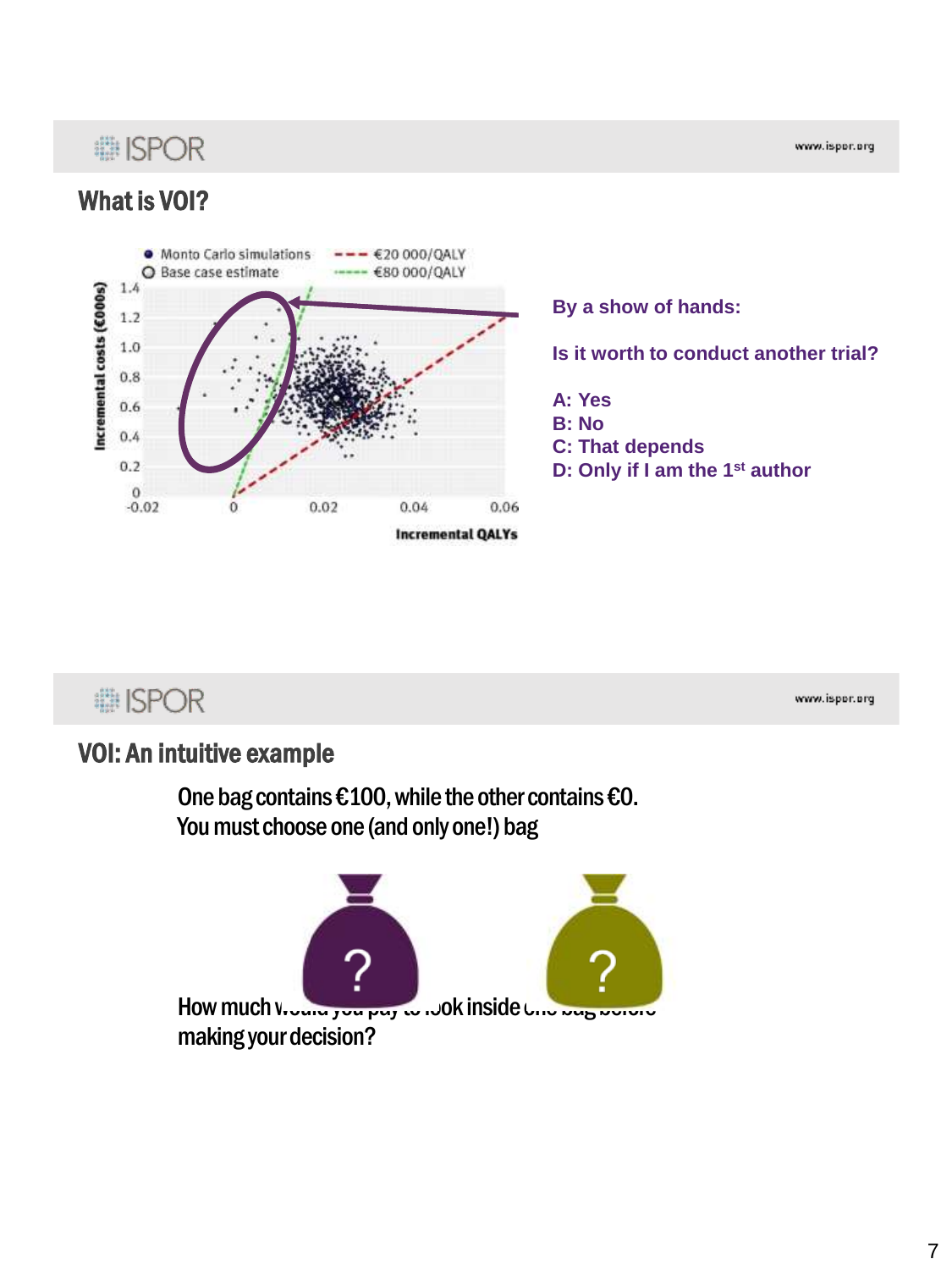## **... ISPOR**

What is VOI?

www.ispor.org

#### **.** Monto Carlo simulations  $-$  €20 000/QALY Base case estimate €80 000/QALY  $\circ$  $1.4$ Incremental costs (£000s)  $1.2$  $1.0$  $0.8$  $0.6$  $0.4$  $0.2$  $\Omega$  $-0.02$ 0.02 0.06  $0.04$ **Incremental QALYs**

**By a show of hands:** 

**Is it worth to conduct another trial?**

**A: Yes B: No C: That depends D: Only if I am the 1st author**

## **i ISPOR**

www.ispor.org

### VOI: An intuitive example

One bag contains €100, while the other contains €0. You must choose one (and only one!) bag

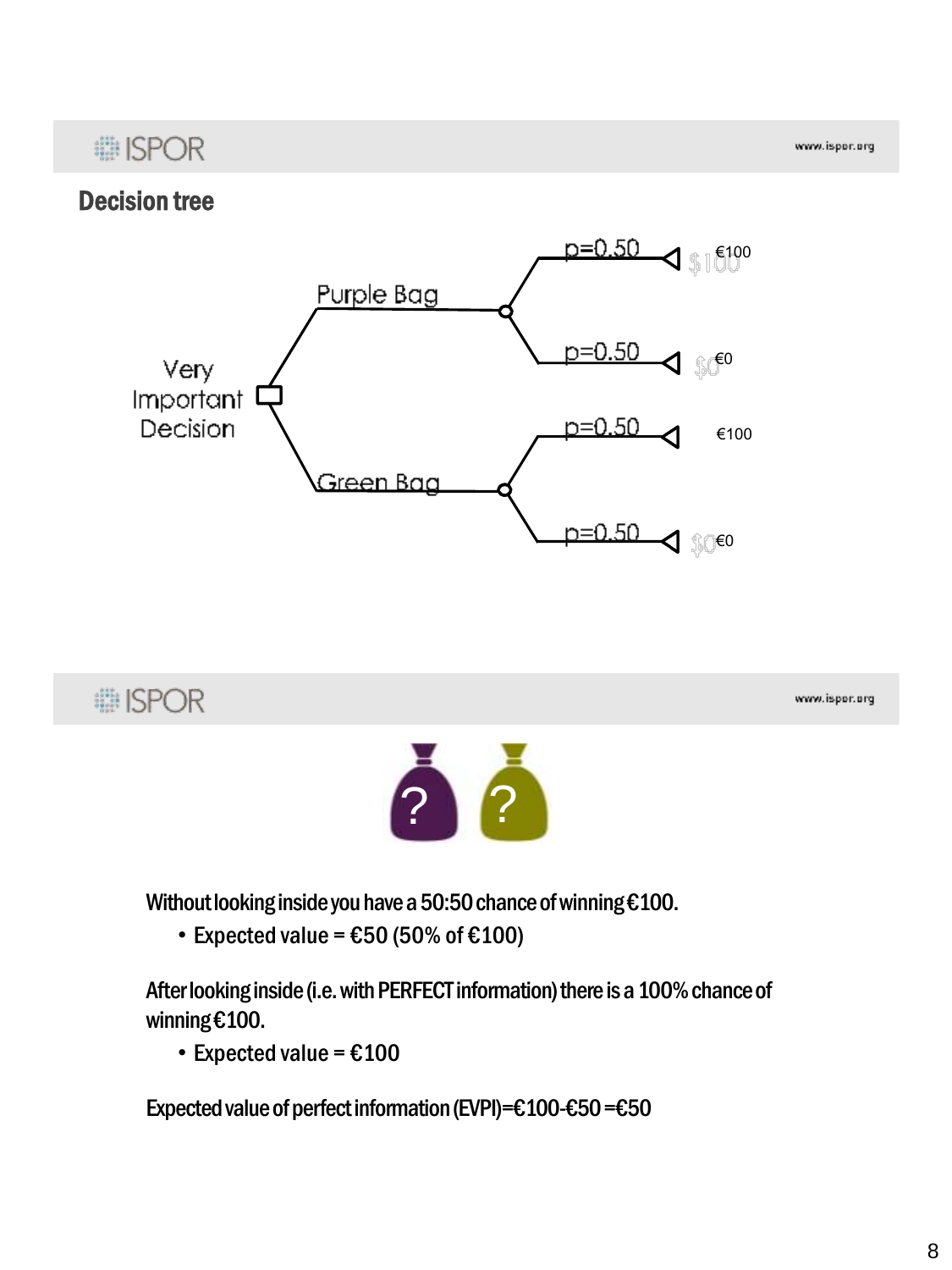www.ispor.org

### Decision tree





Without looking inside you have a 50:50 chance of winning €100.

• Expected value =  $£50$  (50% of  $£100$ )

After looking inside (i.e. with PERFECT information) there is a 100% chance of winning €100.

• Expected value =  $£100$ 

Expected value of perfect information (EVPI)=€100-€50 =€50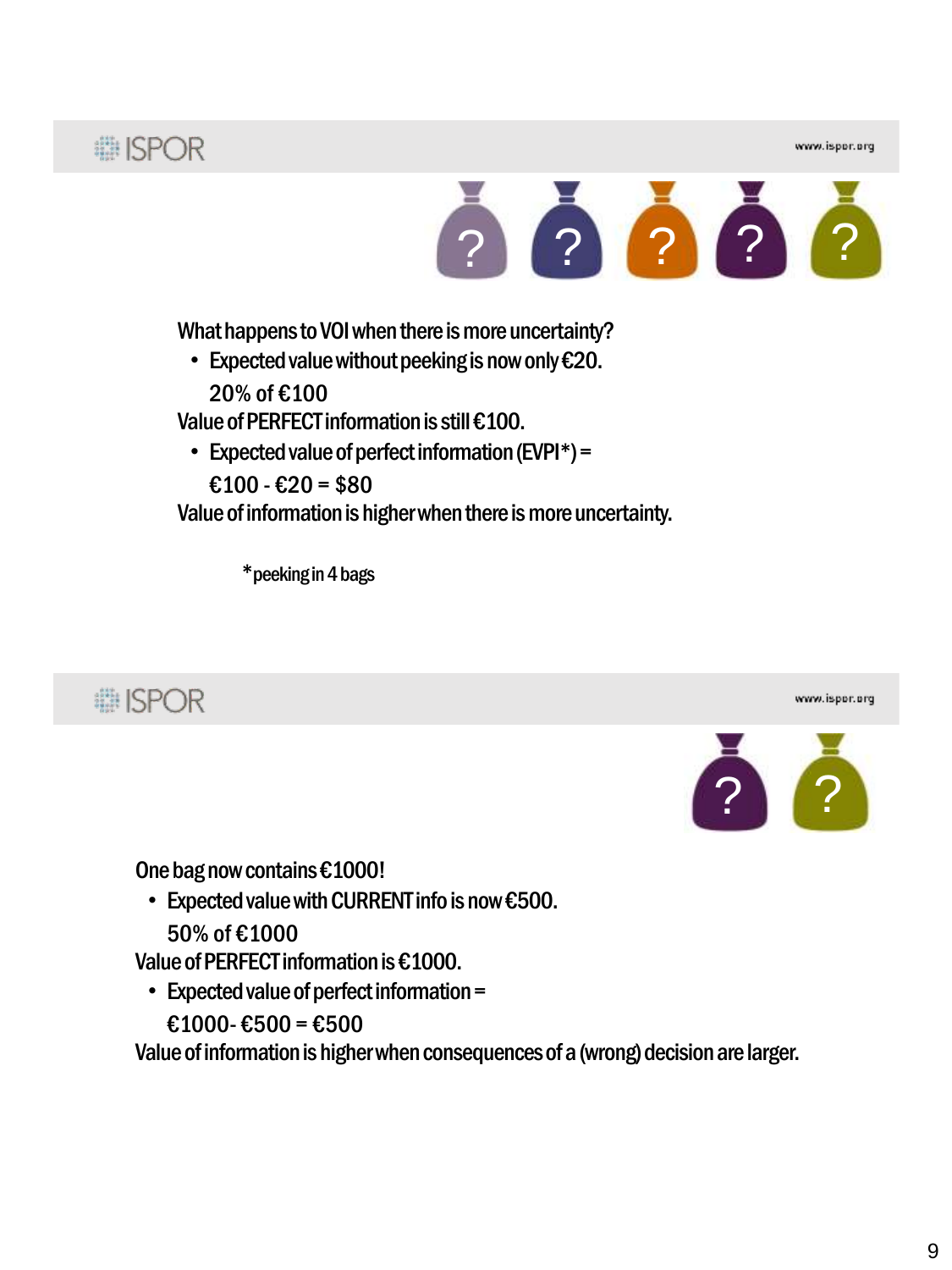## **# ISPOR**



What happens to VOI when there is more uncertainty?

• Expected value without peeking is now only €20.

20% of €100

Value of PERFECT information is still €100.

• Expected value of perfect information (EVPI\*) =

 $£100 - £20 = $80$ 

Value of information is higher when there is more uncertainty.

\*peeking in 4 bags







One bag now contains €1000!

• Expected value with CURRENT info is now €500. 50% of €1000

Value of PERFECT information is €1000.

- Expected value of perfect information =
	- €1000- €500 = €500

Value of information is higher when consequences of a (wrong) decision are larger.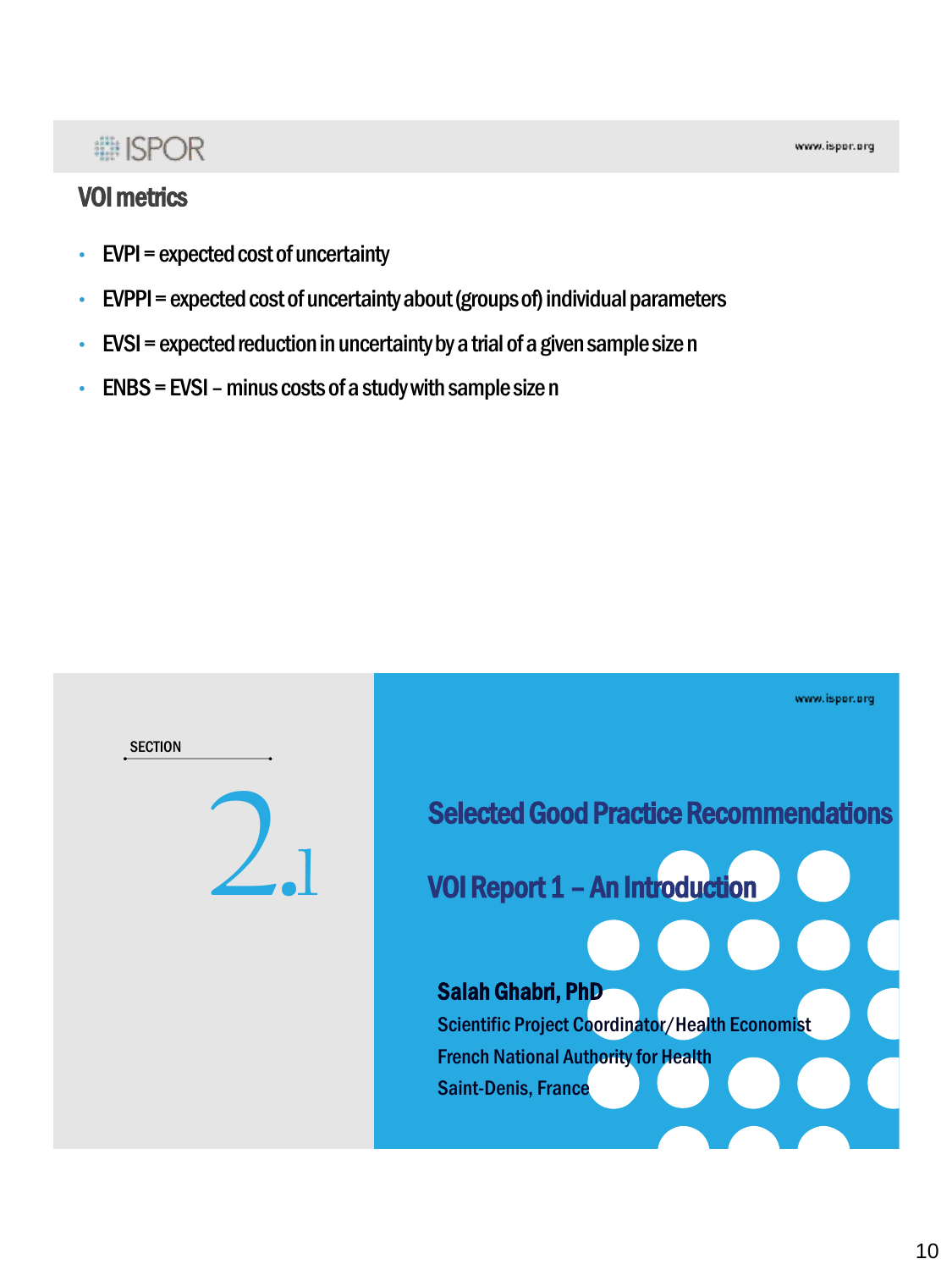### VOI metrics

- $\cdot$  EVPI = expected cost of uncertainty
- EVPPI = expected cost of uncertainty about (groups of) individual parameters
- $\cdot$  EVSI = expected reduction in uncertainty by a trial of a given sample size n
- $\cdot$  ENBS = EVSI minus costs of a study with sample size n

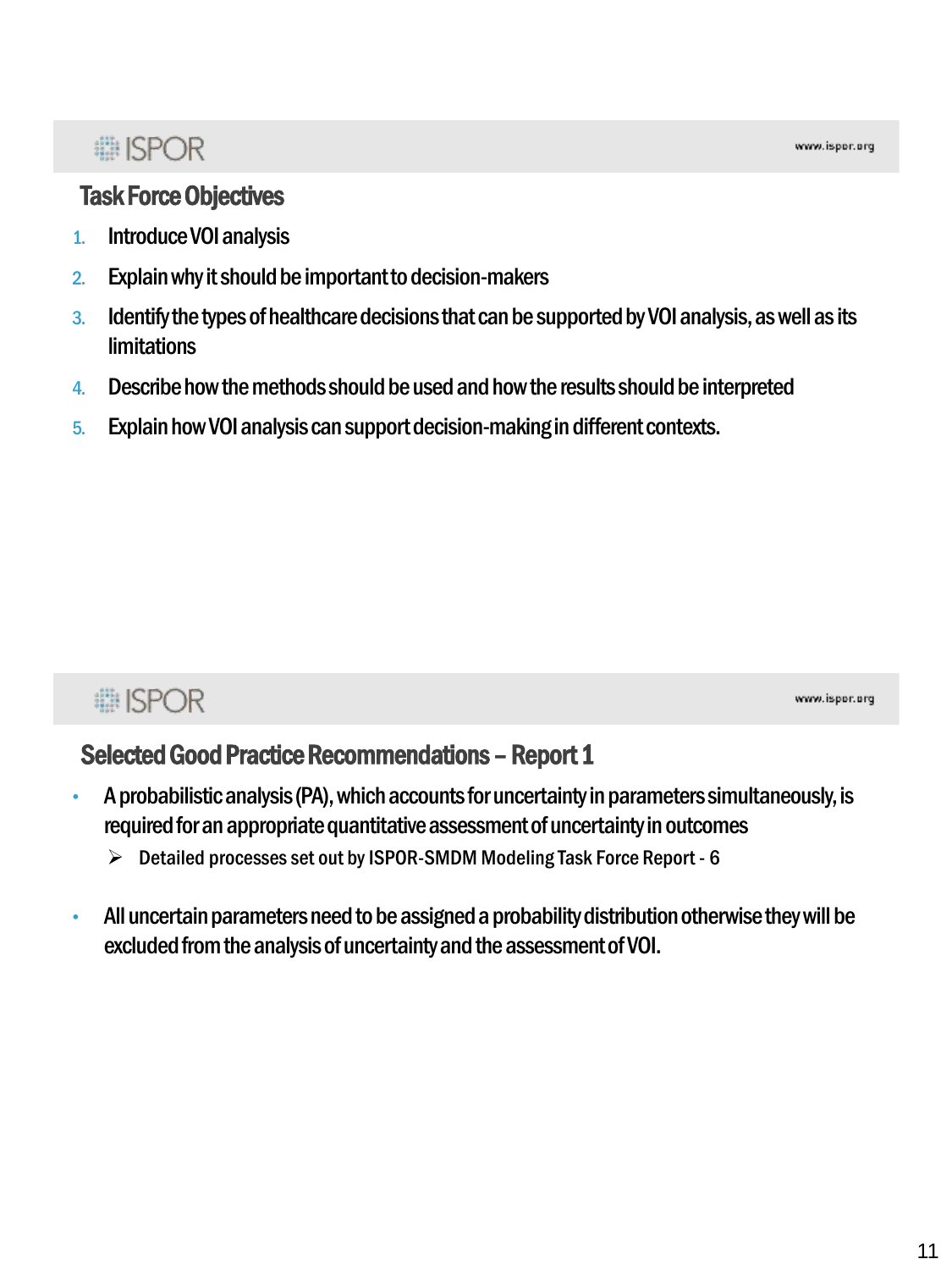### Task Force Objectives

- 1. Introduce VOI analysis
- 2. Explain why it should be important to decision-makers
- 3. Identify the types of healthcare decisions that can be supported by VOI analysis, as well as its limitations
- 4. Describe how the methods should be used and how the results should be interpreted
- 5. Explain how VOI analysis can support decision-making in different contexts.

## **... ISPOR**

www.ispor.org

### Selected Good Practice Recommendations - Report 1

- A probabilistic analysis (PA), which accounts for uncertainty in parameters simultaneously, is required for an appropriate quantitative assessment of uncertainty in outcomes
	- Detailed processes set out by ISPOR-SMDM Modeling Task Force Report 6
- All uncertain parameters need to be assigned a probability distribution otherwise they will be excluded from the analysis of uncertainty and the assessment of VOI.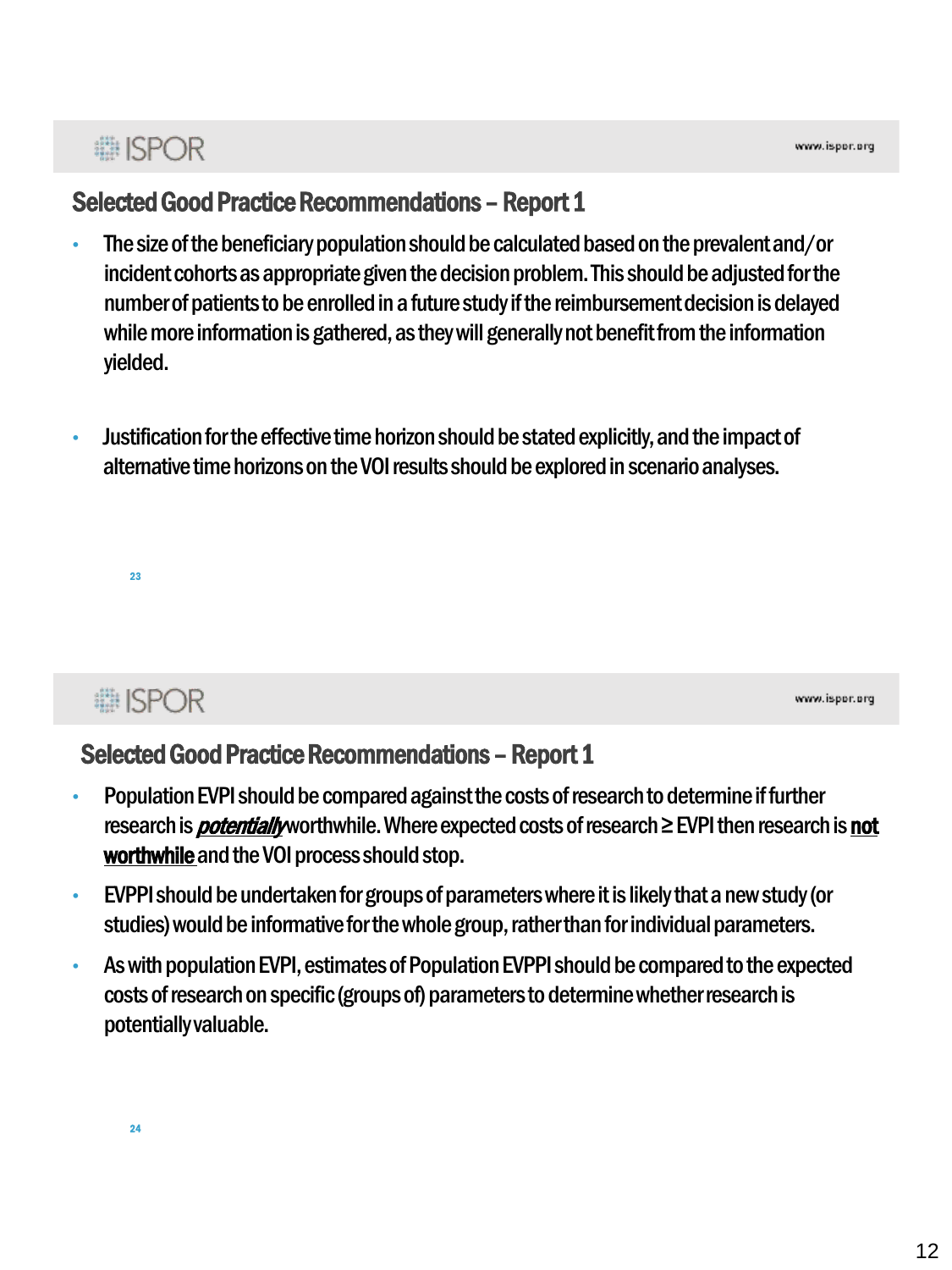## **■ISPOR**

### Selected Good Practice Recommendations - Report 1

- The size of the beneficiary population should be calculated based on the prevalent and/or incident cohorts as appropriate given the decision problem. This should be adjusted for the number of patients to be enrolled in a future study if the reimbursement decision is delayed while more information is gathered, as they will generally not benefit from the information yielded.
- Justification for the effective time horizon should be stated explicitly, and the impact of alternative time horizons on the VOI results should be explored in scenario analyses.

**■ISPOR** 

23

www.ispor.org

### Selected Good Practice Recommendations - Report 1

- Population EVPI should be compared against the costs of research to determine if further research is *potentially* worthwhile. Where expected costs of research  $\ge$  EVPI then research is not worthwhile and the VOI process should stop.
- EVPPI should be undertaken for groups of parameters where it is likely that a new study (or studies) would be informative for the whole group, rather than for individual parameters.
- As with population EVPI, estimates of Population EVPPI should be compared to the expected costs of research on specific (groups of) parameters to determine whether research is potentially valuable.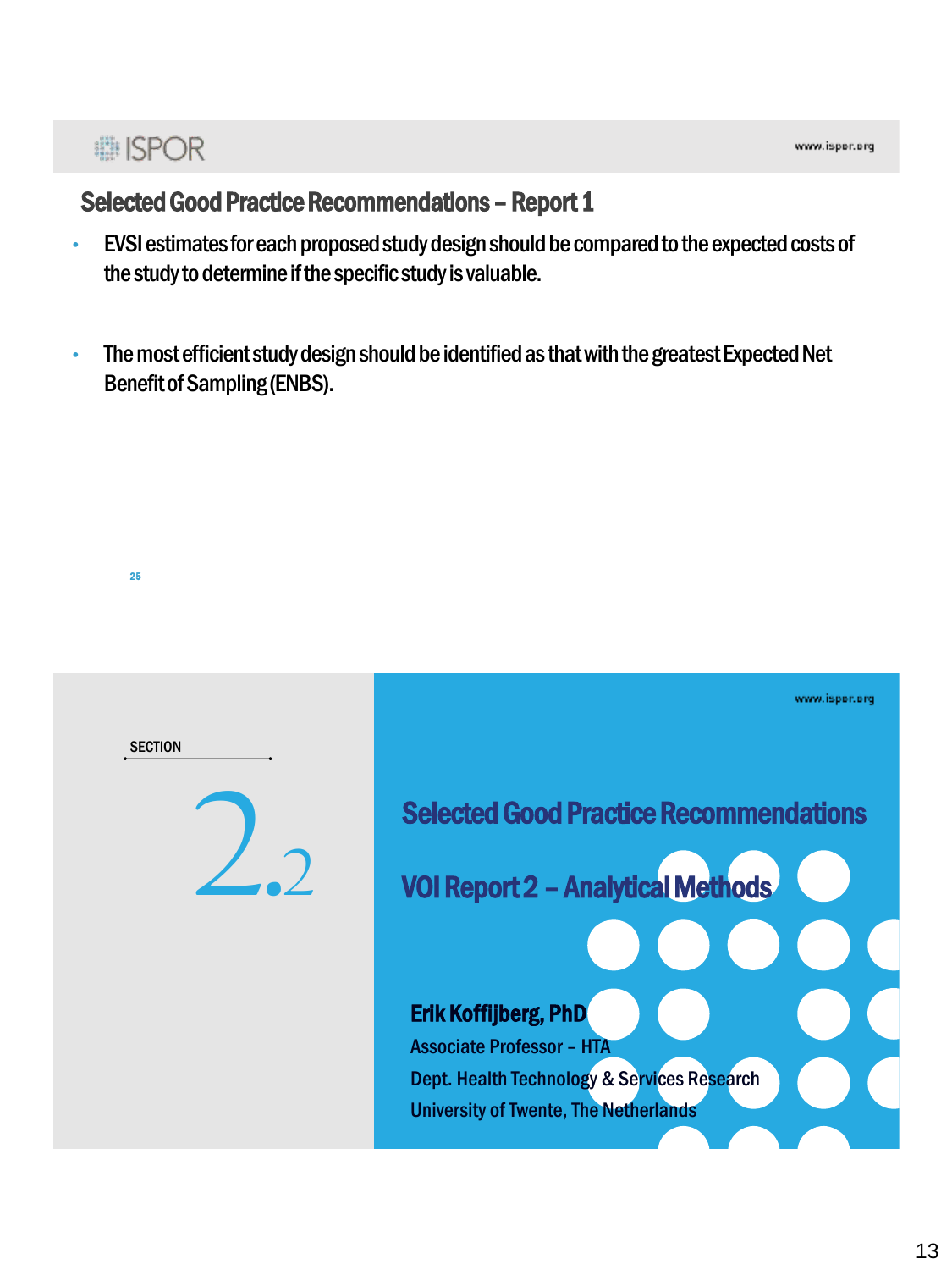## **# ISPOR**

25

### Selected Good Practice Recommendations - Report 1

- EVSI estimates for each proposed study design should be compared to the expected costs of the study to determine if the specific study is valuable.
- The most efficient study design should be identified as that with the greatest Expected Net Benefit of Sampling (ENBS).

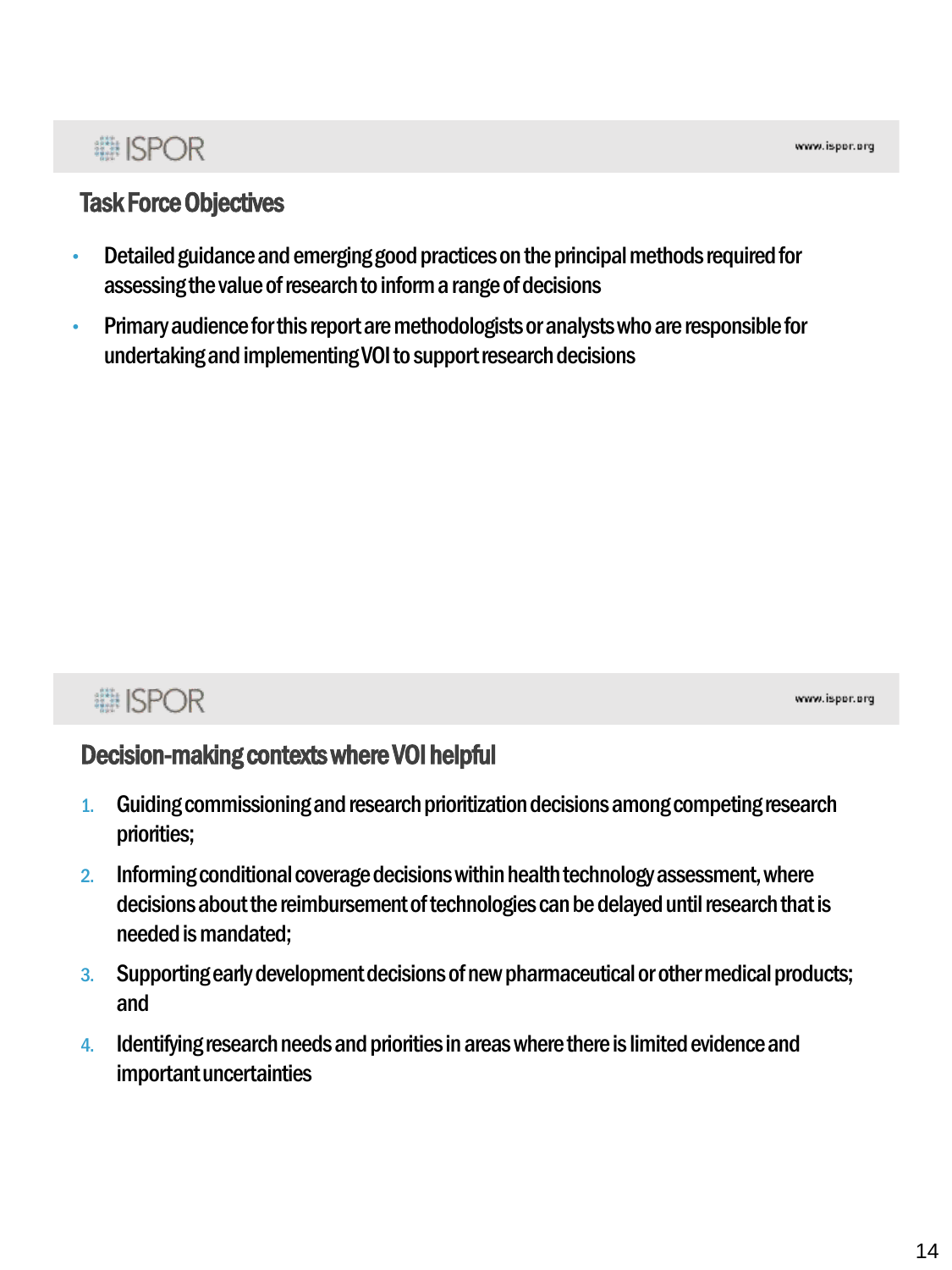# : ISPOR

### Task Force Objectives

- Detailed guidance and emerging good practices on the principal methods required for assessing the value of research to inform a range of decisions
- Primary audience for this report are methodologists or analysts who are responsible for undertaking and implementing VOI to support research decisions

## **■ISPOR**

www.ispor.org

### Decision-making contexts where VOI helpful

- 1. Guiding commissioning and research prioritization decisions among competing research priorities;
- 2. Informing conditional coverage decisions within health technology assessment, where decisions about the reimbursement of technologies can be delayed until research that is needed is mandated;
- 3. Supporting early development decisions of new pharmaceutical or other medical products; and
- 4. Identifying research needs and priorities in areas where there is limited evidence and important uncertainties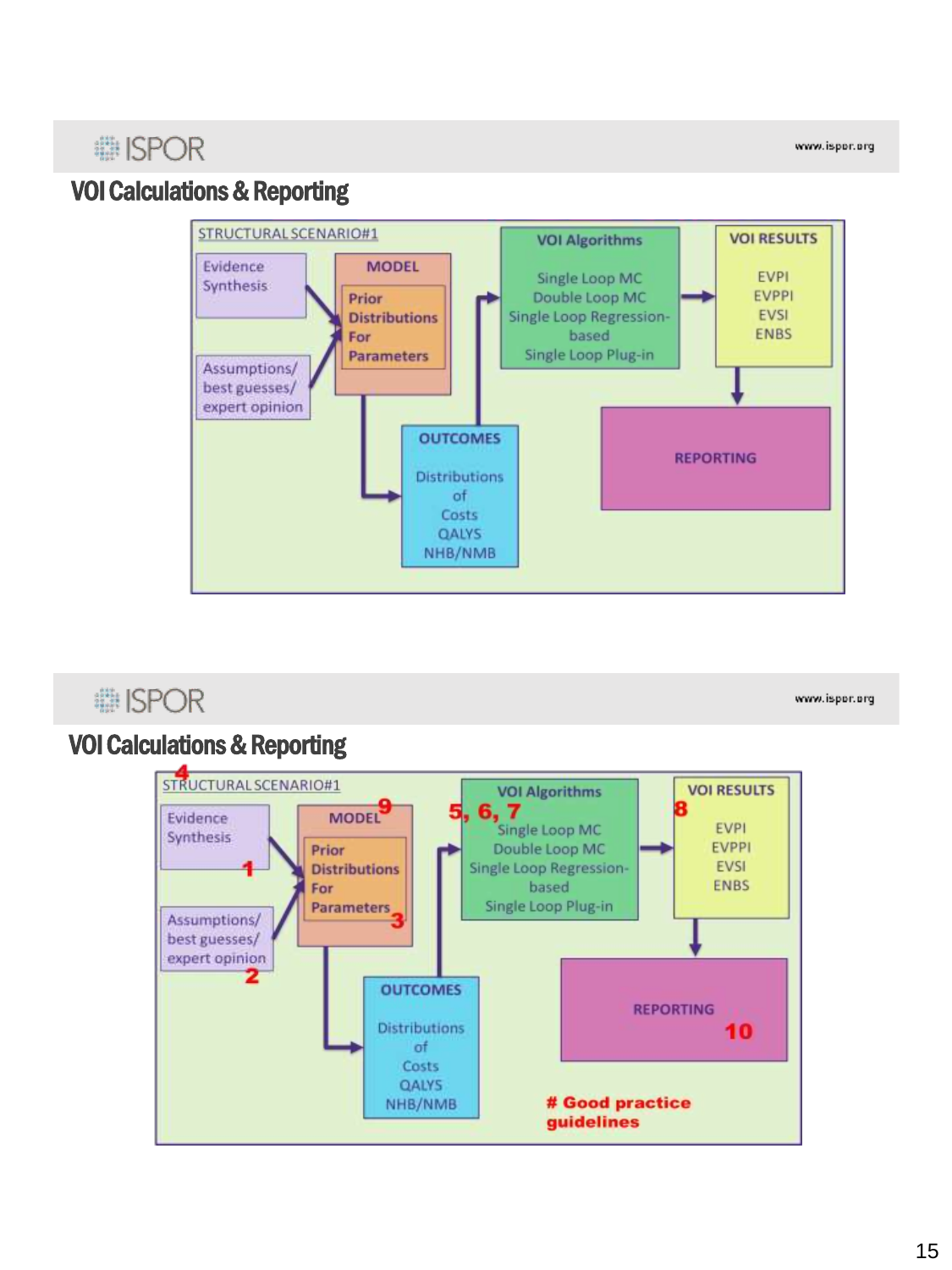www.ispor.org

## VOI Calculations & Reporting



## **■ISPOR**

www.ispor.org

#### VOI Calculations & Reporting

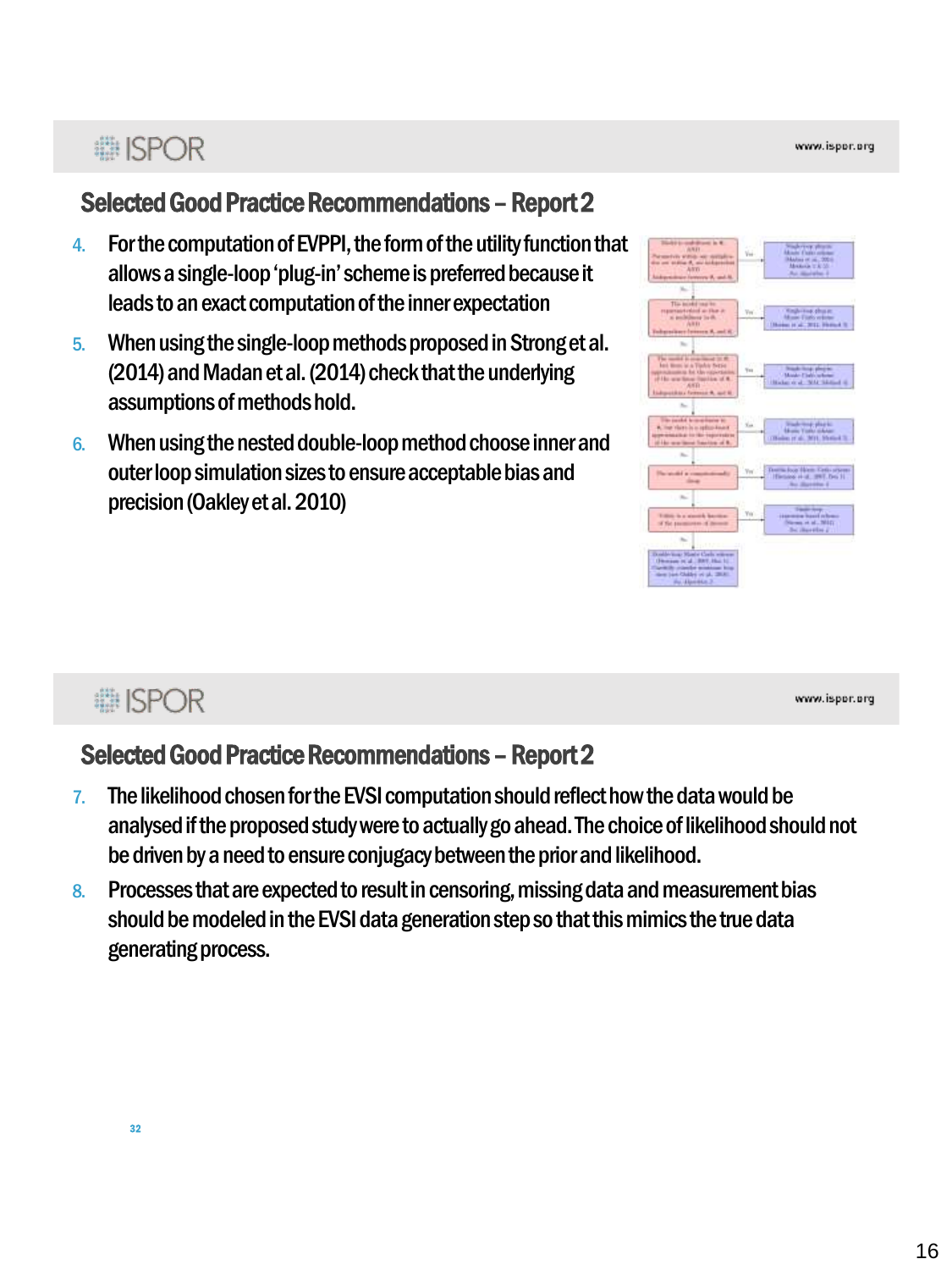## **■ISPOR**

### Selected Good Practice Recommendations - Report 2

- 4. For the computation of EVPPI, the form of the utility function that allows a single-loop 'plug-in' scheme is preferred because it leads to an exact computation of the inner expectation
- 5. When using the single-loop methods proposed in Strong et al. (2014) and Madan et al. (2014) check that the underlying assumptions of methods hold.
- 6. When using the nested double-loop method choose inner and outer loop simulation sizes to ensure acceptable bias and precision (Oakley et al. 2010)

www.ispor.org

### Selected Good Practice Recommendations - Report 2

- 7. The likelihood chosen for the EVSI computation should reflect how the data would be analysed if the proposed study were to actually go ahead. The choice of likelihood should not be driven by a need to ensure conjugacy between the prior and likelihood.
- 8. Processes that are expected to result in censoring, missing data and measurement bias should be modeled in the EVSI data generation step so that this mimics the true data generating process.

32

**■ISPOR**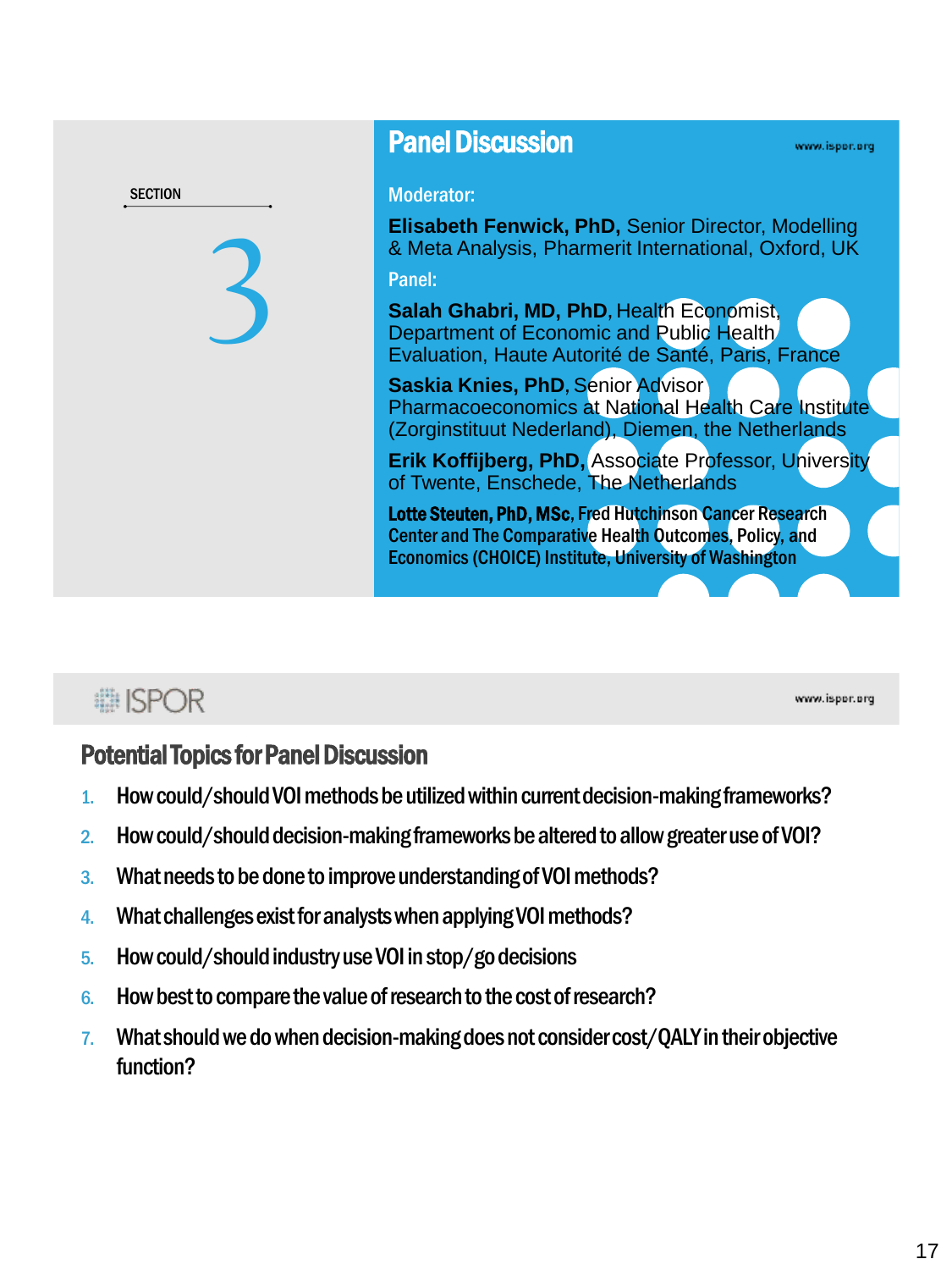| <b>SECTION</b> |  |
|----------------|--|
|                |  |
|                |  |
|                |  |

### Panel Discussion

#### www.ispor.org

#### Moderator:

**Elisabeth Fenwick, PhD,** Senior Director, Modelling & Meta Analysis, Pharmerit International, Oxford, UK Panel:

**Salah Ghabri, MD, PhD**, Health Economist, Department of Economic and Public Health Evaluation, Haute Autorité de Santé, Paris, France

**Saskia Knies, PhD, Senior Advisor** Pharmacoeconomics at National Health Care Institute (Zorginstituut Nederland), Diemen, the Netherlands

**Erik Koffijberg, PhD,** Associate Professor, University of Twente, Enschede, The Netherlands

Lotte Steuten, PhD, MSc, Fred Hutchinson Cancer Research Center and The Comparative Health Outcomes, Policy, and Economics (CHOICE) Institute, University of Washington

## **■ISPOR**

www.ispor.org

#### Potential Topics for Panel Discussion

- 1. How could/should VOI methods be utilized within current decision-making frameworks?
- 2. How could/should decision-making frameworks be altered to allow greater use of VOI?
- 3. What needs to be done to improve understanding of VOI methods?
- 4. What challenges exist for analysts when applying VOI methods?
- 5. How could/should industry use VOI in stop/go decisions
- 6. How best to compare the value of research to the cost of research?
- 7. What should we do when decision-making does not consider cost/QALY in their objective function?